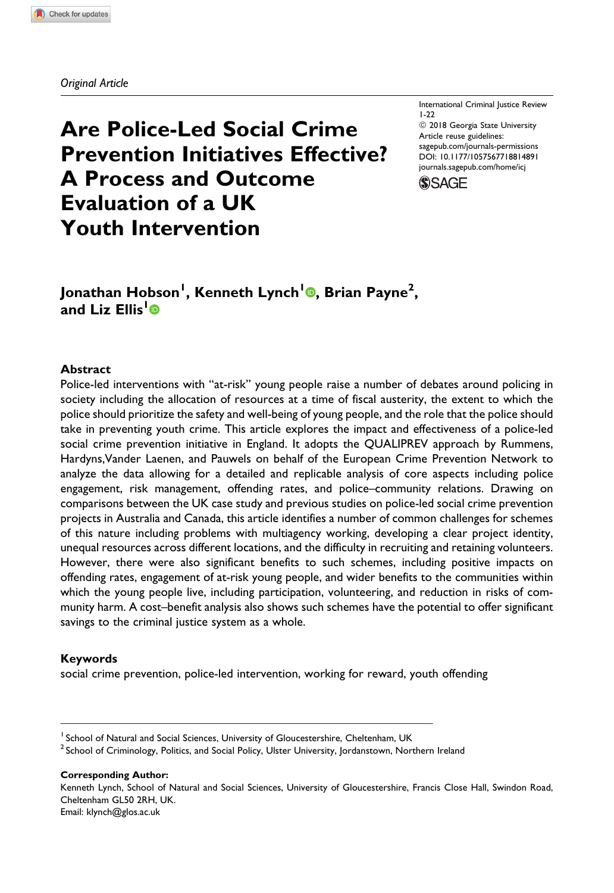Original Article

# Are Police-Led Social Crime Prevention Initiatives Effective? A Process and Outcome Evaluation of a UK Youth Intervention

International Criminal Justice Review 1-22 <sup>©</sup> 2018 Georgia State University Article reuse guidelines: [sagepub.com/journals-permissions](https://sagepub.com/journals-permissions) [DOI: 10.1177/1057567718814891](https://doi.org/10.1177/1057567718814891) [journals.sagepub.com/home/icj](http://journals.sagepub.com/home/icj)



# Jonathan Hobson<sup>I</sup>, Kenneth Lynch<sup>I</sup>®, Brian Payne<sup>2</sup>, and Liz Fllis<sup>[1](https://orcid.org/0000-0001-9628-8413)</sup><sup>®</sup>

#### Abstract

Police-led interventions with "at-risk" young people raise a number of debates around policing in society including the allocation of resources at a time of fiscal austerity, the extent to which the police should prioritize the safety and well-being of young people, and the role that the police should take in preventing youth crime. This article explores the impact and effectiveness of a police-led social crime prevention initiative in England. It adopts the QUALIPREV approach by Rummens, Hardyns,Vander Laenen, and Pauwels on behalf of the European Crime Prevention Network to analyze the data allowing for a detailed and replicable analysis of core aspects including police engagement, risk management, offending rates, and police–community relations. Drawing on comparisons between the UK case study and previous studies on police-led social crime prevention projects in Australia and Canada, this article identifies a number of common challenges for schemes of this nature including problems with multiagency working, developing a clear project identity, unequal resources across different locations, and the difficulty in recruiting and retaining volunteers. However, there were also significant benefits to such schemes, including positive impacts on offending rates, engagement of at-risk young people, and wider benefits to the communities within which the young people live, including participation, volunteering, and reduction in risks of community harm. A cost–benefit analysis also shows such schemes have the potential to offer significant savings to the criminal justice system as a whole.

#### Keywords

social crime prevention, police-led intervention, working for reward, youth offending

Corresponding Author:

Kenneth Lynch, School of Natural and Social Sciences, University of Gloucestershire, Francis Close Hall, Swindon Road, Cheltenham GL50 2RH, UK. Email: [klynch@glos.ac.uk](mailto:klynch@glos.ac.uk)

<sup>&</sup>lt;sup>1</sup> School of Natural and Social Sciences, University of Gloucestershire, Cheltenham, UK

<sup>&</sup>lt;sup>2</sup> School of Criminology, Politics, and Social Policy, Ulster University, Jordanstown, Northern Ireland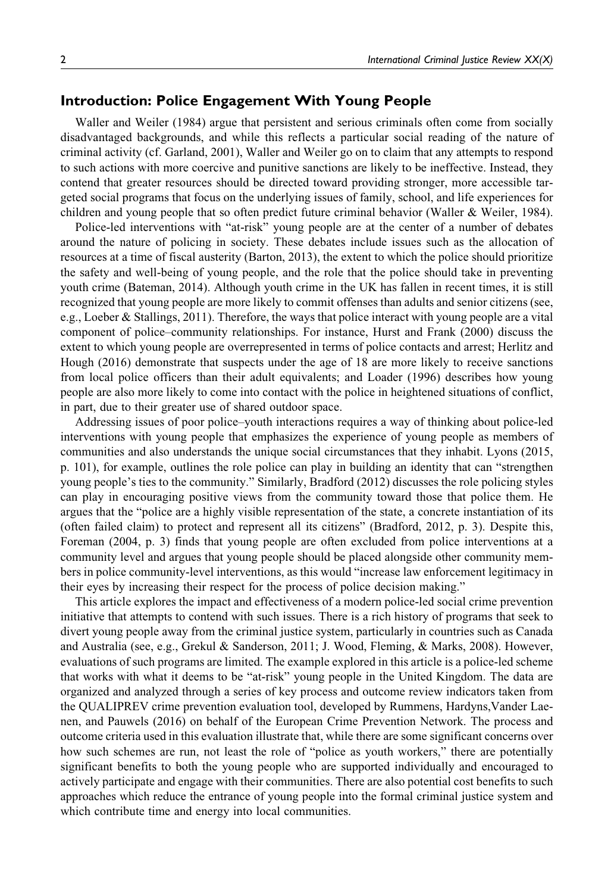# Introduction: Police Engagement With Young People

Waller and Weiler (1984) argue that persistent and serious criminals often come from socially disadvantaged backgrounds, and while this reflects a particular social reading of the nature of criminal activity (cf. Garland, 2001), Waller and Weiler go on to claim that any attempts to respond to such actions with more coercive and punitive sanctions are likely to be ineffective. Instead, they contend that greater resources should be directed toward providing stronger, more accessible targeted social programs that focus on the underlying issues of family, school, and life experiences for children and young people that so often predict future criminal behavior (Waller & Weiler, 1984).

Police-led interventions with "at-risk" young people are at the center of a number of debates around the nature of policing in society. These debates include issues such as the allocation of resources at a time of fiscal austerity (Barton, 2013), the extent to which the police should prioritize the safety and well-being of young people, and the role that the police should take in preventing youth crime (Bateman, 2014). Although youth crime in the UK has fallen in recent times, it is still recognized that young people are more likely to commit offenses than adults and senior citizens (see, e.g., Loeber & Stallings, 2011). Therefore, the ways that police interact with young people are a vital component of police–community relationships. For instance, Hurst and Frank (2000) discuss the extent to which young people are overrepresented in terms of police contacts and arrest; Herlitz and Hough (2016) demonstrate that suspects under the age of 18 are more likely to receive sanctions from local police officers than their adult equivalents; and Loader (1996) describes how young people are also more likely to come into contact with the police in heightened situations of conflict, in part, due to their greater use of shared outdoor space.

Addressing issues of poor police–youth interactions requires a way of thinking about police-led interventions with young people that emphasizes the experience of young people as members of communities and also understands the unique social circumstances that they inhabit. Lyons (2015, p. 101), for example, outlines the role police can play in building an identity that can "strengthen young people's ties to the community." Similarly, Bradford (2012) discusses the role policing styles can play in encouraging positive views from the community toward those that police them. He argues that the "police are a highly visible representation of the state, a concrete instantiation of its (often failed claim) to protect and represent all its citizens" (Bradford, 2012, p. 3). Despite this, Foreman (2004, p. 3) finds that young people are often excluded from police interventions at a community level and argues that young people should be placed alongside other community members in police community-level interventions, as this would "increase law enforcement legitimacy in their eyes by increasing their respect for the process of police decision making."

This article explores the impact and effectiveness of a modern police-led social crime prevention initiative that attempts to contend with such issues. There is a rich history of programs that seek to divert young people away from the criminal justice system, particularly in countries such as Canada and Australia (see, e.g., Grekul & Sanderson, 2011; J. Wood, Fleming, & Marks, 2008). However, evaluations of such programs are limited. The example explored in this article is a police-led scheme that works with what it deems to be "at-risk" young people in the United Kingdom. The data are organized and analyzed through a series of key process and outcome review indicators taken from the QUALIPREV crime prevention evaluation tool, developed by Rummens, Hardyns,Vander Laenen, and Pauwels (2016) on behalf of the European Crime Prevention Network. The process and outcome criteria used in this evaluation illustrate that, while there are some significant concerns over how such schemes are run, not least the role of "police as youth workers," there are potentially significant benefits to both the young people who are supported individually and encouraged to actively participate and engage with their communities. There are also potential cost benefits to such approaches which reduce the entrance of young people into the formal criminal justice system and which contribute time and energy into local communities.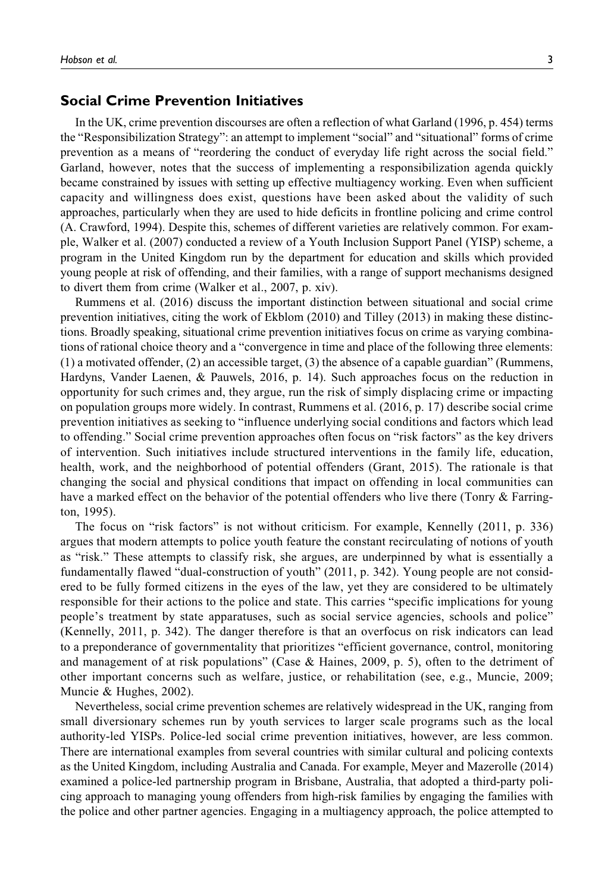## Social Crime Prevention Initiatives

In the UK, crime prevention discourses are often a reflection of what Garland (1996, p. 454) terms the "Responsibilization Strategy": an attempt to implement "social" and "situational" forms of crime prevention as a means of "reordering the conduct of everyday life right across the social field." Garland, however, notes that the success of implementing a responsibilization agenda quickly became constrained by issues with setting up effective multiagency working. Even when sufficient capacity and willingness does exist, questions have been asked about the validity of such approaches, particularly when they are used to hide deficits in frontline policing and crime control (A. Crawford, 1994). Despite this, schemes of different varieties are relatively common. For example, Walker et al. (2007) conducted a review of a Youth Inclusion Support Panel (YISP) scheme, a program in the United Kingdom run by the department for education and skills which provided young people at risk of offending, and their families, with a range of support mechanisms designed to divert them from crime (Walker et al., 2007, p. xiv).

Rummens et al. (2016) discuss the important distinction between situational and social crime prevention initiatives, citing the work of Ekblom (2010) and Tilley (2013) in making these distinctions. Broadly speaking, situational crime prevention initiatives focus on crime as varying combinations of rational choice theory and a "convergence in time and place of the following three elements: (1) a motivated offender, (2) an accessible target, (3) the absence of a capable guardian" (Rummens, Hardyns, Vander Laenen, & Pauwels, 2016, p. 14). Such approaches focus on the reduction in opportunity for such crimes and, they argue, run the risk of simply displacing crime or impacting on population groups more widely. In contrast, Rummens et al. (2016, p. 17) describe social crime prevention initiatives as seeking to "influence underlying social conditions and factors which lead to offending." Social crime prevention approaches often focus on "risk factors" as the key drivers of intervention. Such initiatives include structured interventions in the family life, education, health, work, and the neighborhood of potential offenders (Grant, 2015). The rationale is that changing the social and physical conditions that impact on offending in local communities can have a marked effect on the behavior of the potential offenders who live there (Tonry & Farrington, 1995).

The focus on "risk factors" is not without criticism. For example, Kennelly (2011, p. 336) argues that modern attempts to police youth feature the constant recirculating of notions of youth as "risk." These attempts to classify risk, she argues, are underpinned by what is essentially a fundamentally flawed "dual-construction of youth" (2011, p. 342). Young people are not considered to be fully formed citizens in the eyes of the law, yet they are considered to be ultimately responsible for their actions to the police and state. This carries "specific implications for young people's treatment by state apparatuses, such as social service agencies, schools and police" (Kennelly, 2011, p. 342). The danger therefore is that an overfocus on risk indicators can lead to a preponderance of governmentality that prioritizes "efficient governance, control, monitoring and management of at risk populations" (Case & Haines, 2009, p. 5), often to the detriment of other important concerns such as welfare, justice, or rehabilitation (see, e.g., Muncie, 2009; Muncie & Hughes, 2002).

Nevertheless, social crime prevention schemes are relatively widespread in the UK, ranging from small diversionary schemes run by youth services to larger scale programs such as the local authority-led YISPs. Police-led social crime prevention initiatives, however, are less common. There are international examples from several countries with similar cultural and policing contexts as the United Kingdom, including Australia and Canada. For example, Meyer and Mazerolle (2014) examined a police-led partnership program in Brisbane, Australia, that adopted a third-party policing approach to managing young offenders from high-risk families by engaging the families with the police and other partner agencies. Engaging in a multiagency approach, the police attempted to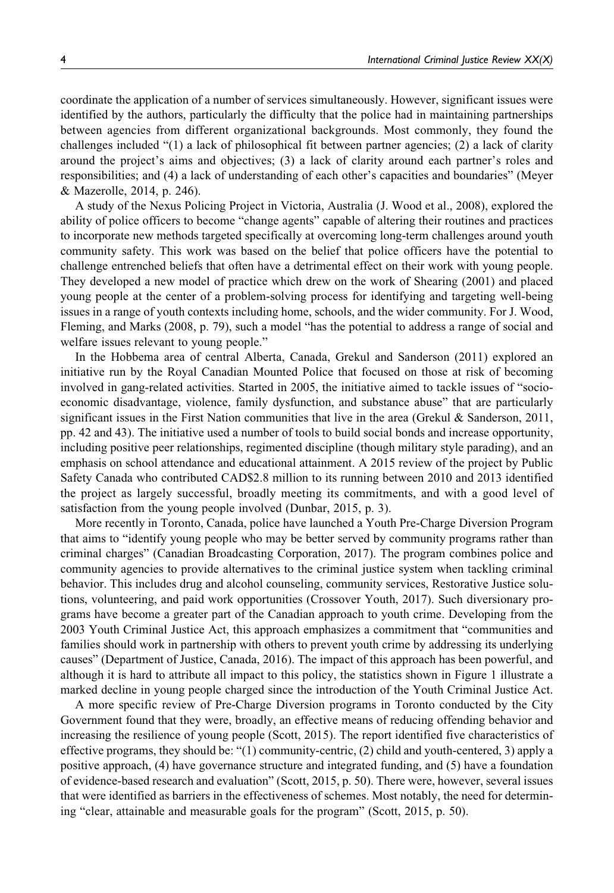coordinate the application of a number of services simultaneously. However, significant issues were identified by the authors, particularly the difficulty that the police had in maintaining partnerships between agencies from different organizational backgrounds. Most commonly, they found the challenges included "(1) a lack of philosophical fit between partner agencies; (2) a lack of clarity around the project's aims and objectives; (3) a lack of clarity around each partner's roles and responsibilities; and (4) a lack of understanding of each other's capacities and boundaries" (Meyer & Mazerolle, 2014, p. 246).

A study of the Nexus Policing Project in Victoria, Australia (J. Wood et al., 2008), explored the ability of police officers to become "change agents" capable of altering their routines and practices to incorporate new methods targeted specifically at overcoming long-term challenges around youth community safety. This work was based on the belief that police officers have the potential to challenge entrenched beliefs that often have a detrimental effect on their work with young people. They developed a new model of practice which drew on the work of Shearing (2001) and placed young people at the center of a problem-solving process for identifying and targeting well-being issues in a range of youth contexts including home, schools, and the wider community. For J. Wood, Fleming, and Marks (2008, p. 79), such a model "has the potential to address a range of social and welfare issues relevant to young people."

In the Hobbema area of central Alberta, Canada, Grekul and Sanderson (2011) explored an initiative run by the Royal Canadian Mounted Police that focused on those at risk of becoming involved in gang-related activities. Started in 2005, the initiative aimed to tackle issues of "socioeconomic disadvantage, violence, family dysfunction, and substance abuse" that are particularly significant issues in the First Nation communities that live in the area (Grekul & Sanderson, 2011, pp. 42 and 43). The initiative used a number of tools to build social bonds and increase opportunity, including positive peer relationships, regimented discipline (though military style parading), and an emphasis on school attendance and educational attainment. A 2015 review of the project by Public Safety Canada who contributed CAD\$2.8 million to its running between 2010 and 2013 identified the project as largely successful, broadly meeting its commitments, and with a good level of satisfaction from the young people involved (Dunbar, 2015, p. 3).

More recently in Toronto, Canada, police have launched a Youth Pre-Charge Diversion Program that aims to "identify young people who may be better served by community programs rather than criminal charges" (Canadian Broadcasting Corporation, 2017). The program combines police and community agencies to provide alternatives to the criminal justice system when tackling criminal behavior. This includes drug and alcohol counseling, community services, Restorative Justice solutions, volunteering, and paid work opportunities (Crossover Youth, 2017). Such diversionary programs have become a greater part of the Canadian approach to youth crime. Developing from the 2003 Youth Criminal Justice Act, this approach emphasizes a commitment that "communities and families should work in partnership with others to prevent youth crime by addressing its underlying causes" (Department of Justice, Canada, 2016). The impact of this approach has been powerful, and although it is hard to attribute all impact to this policy, the statistics shown in Figure 1 illustrate a marked decline in young people charged since the introduction of the Youth Criminal Justice Act.

A more specific review of Pre-Charge Diversion programs in Toronto conducted by the City Government found that they were, broadly, an effective means of reducing offending behavior and increasing the resilience of young people (Scott, 2015). The report identified five characteristics of effective programs, they should be: "(1) community-centric, (2) child and youth-centered, 3) apply a positive approach, (4) have governance structure and integrated funding, and (5) have a foundation of evidence-based research and evaluation" (Scott, 2015, p. 50). There were, however, several issues that were identified as barriers in the effectiveness of schemes. Most notably, the need for determining "clear, attainable and measurable goals for the program" (Scott, 2015, p. 50).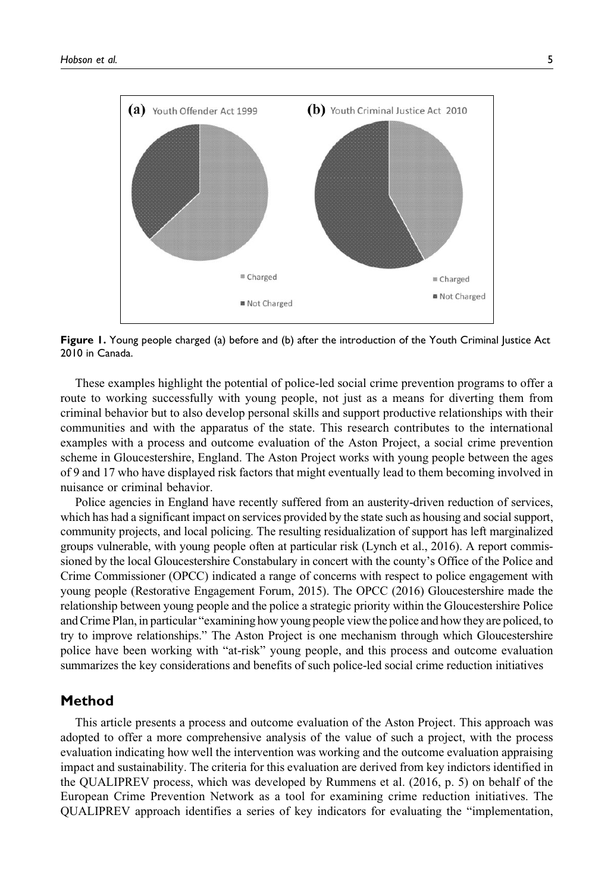

Figure 1. Young people charged (a) before and (b) after the introduction of the Youth Criminal Justice Act 2010 in Canada.

These examples highlight the potential of police-led social crime prevention programs to offer a route to working successfully with young people, not just as a means for diverting them from criminal behavior but to also develop personal skills and support productive relationships with their communities and with the apparatus of the state. This research contributes to the international examples with a process and outcome evaluation of the Aston Project, a social crime prevention scheme in Gloucestershire, England. The Aston Project works with young people between the ages of 9 and 17 who have displayed risk factors that might eventually lead to them becoming involved in nuisance or criminal behavior.

Police agencies in England have recently suffered from an austerity-driven reduction of services, which has had a significant impact on services provided by the state such as housing and social support, community projects, and local policing. The resulting residualization of support has left marginalized groups vulnerable, with young people often at particular risk (Lynch et al., 2016). A report commissioned by the local Gloucestershire Constabulary in concert with the county's Office of the Police and Crime Commissioner (OPCC) indicated a range of concerns with respect to police engagement with young people (Restorative Engagement Forum, 2015). The OPCC (2016) Gloucestershire made the relationship between young people and the police a strategic priority within the Gloucestershire Police and Crime Plan, in particular "examining how young people view the police and how they are policed, to try to improve relationships." The Aston Project is one mechanism through which Gloucestershire police have been working with "at-risk" young people, and this process and outcome evaluation summarizes the key considerations and benefits of such police-led social crime reduction initiatives

#### Method

This article presents a process and outcome evaluation of the Aston Project. This approach was adopted to offer a more comprehensive analysis of the value of such a project, with the process evaluation indicating how well the intervention was working and the outcome evaluation appraising impact and sustainability. The criteria for this evaluation are derived from key indictors identified in the QUALIPREV process, which was developed by Rummens et al. (2016, p. 5) on behalf of the European Crime Prevention Network as a tool for examining crime reduction initiatives. The QUALIPREV approach identifies a series of key indicators for evaluating the "implementation,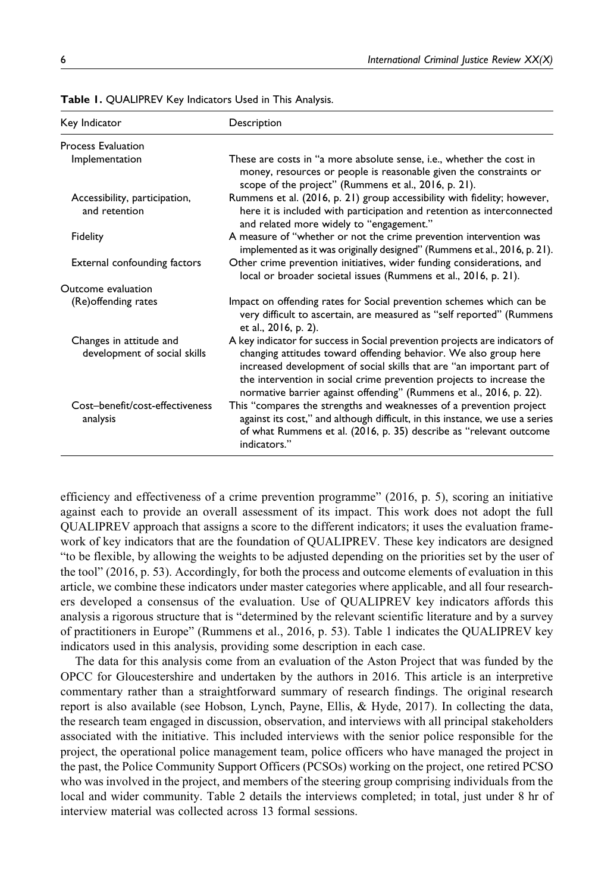| Key Indicator                                           | Description                                                                                                                                                                                                                                                                                                                                                             |
|---------------------------------------------------------|-------------------------------------------------------------------------------------------------------------------------------------------------------------------------------------------------------------------------------------------------------------------------------------------------------------------------------------------------------------------------|
| <b>Process Evaluation</b>                               |                                                                                                                                                                                                                                                                                                                                                                         |
| Implementation                                          | These are costs in "a more absolute sense, i.e., whether the cost in<br>money, resources or people is reasonable given the constraints or<br>scope of the project" (Rummens et al., 2016, p. 21).                                                                                                                                                                       |
| Accessibility, participation,<br>and retention          | Rummens et al. (2016, p. 21) group accessibility with fidelity; however,<br>here it is included with participation and retention as interconnected<br>and related more widely to "engagement."                                                                                                                                                                          |
| Fidelity                                                | A measure of "whether or not the crime prevention intervention was<br>implemented as it was originally designed" (Rummens et al., 2016, p. 21).                                                                                                                                                                                                                         |
| External confounding factors                            | Other crime prevention initiatives, wider funding considerations, and<br>local or broader societal issues (Rummens et al., 2016, p. 21).                                                                                                                                                                                                                                |
| Outcome evaluation                                      |                                                                                                                                                                                                                                                                                                                                                                         |
| (Re) offending rates                                    | Impact on offending rates for Social prevention schemes which can be<br>very difficult to ascertain, are measured as "self reported" (Rummens<br>et al., 2016, p. 2).                                                                                                                                                                                                   |
| Changes in attitude and<br>development of social skills | A key indicator for success in Social prevention projects are indicators of<br>changing attitudes toward offending behavior. We also group here<br>increased development of social skills that are "an important part of<br>the intervention in social crime prevention projects to increase the<br>normative barrier against offending" (Rummens et al., 2016, p. 22). |
| Cost-benefit/cost-effectiveness<br>analysis             | This "compares the strengths and weaknesses of a prevention project<br>against its cost," and although difficult, in this instance, we use a series<br>of what Rummens et al. (2016, p. 35) describe as "relevant outcome<br>indicators."                                                                                                                               |

Table 1. QUALIPREV Key Indicators Used in This Analysis.

efficiency and effectiveness of a crime prevention programme" (2016, p. 5), scoring an initiative against each to provide an overall assessment of its impact. This work does not adopt the full QUALIPREV approach that assigns a score to the different indicators; it uses the evaluation framework of key indicators that are the foundation of QUALIPREV. These key indicators are designed "to be flexible, by allowing the weights to be adjusted depending on the priorities set by the user of the tool" (2016, p. 53). Accordingly, for both the process and outcome elements of evaluation in this article, we combine these indicators under master categories where applicable, and all four researchers developed a consensus of the evaluation. Use of QUALIPREV key indicators affords this analysis a rigorous structure that is "determined by the relevant scientific literature and by a survey of practitioners in Europe" (Rummens et al., 2016, p. 53). Table 1 indicates the QUALIPREV key indicators used in this analysis, providing some description in each case.

The data for this analysis come from an evaluation of the Aston Project that was funded by the OPCC for Gloucestershire and undertaken by the authors in 2016. This article is an interpretive commentary rather than a straightforward summary of research findings. The original research report is also available (see Hobson, Lynch, Payne, Ellis, & Hyde, 2017). In collecting the data, the research team engaged in discussion, observation, and interviews with all principal stakeholders associated with the initiative. This included interviews with the senior police responsible for the project, the operational police management team, police officers who have managed the project in the past, the Police Community Support Officers (PCSOs) working on the project, one retired PCSO who was involved in the project, and members of the steering group comprising individuals from the local and wider community. Table 2 details the interviews completed; in total, just under 8 hr of interview material was collected across 13 formal sessions.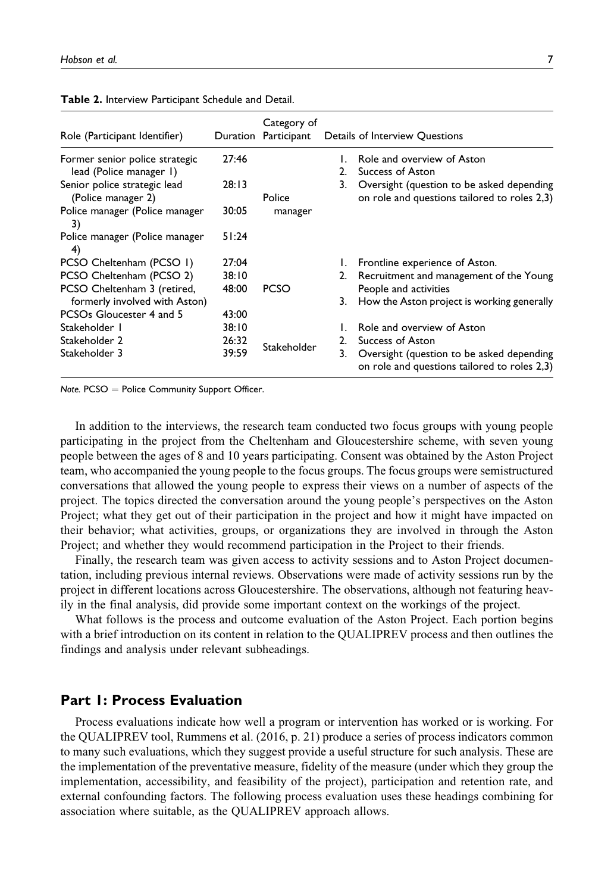| Role (Participant Identifier)                      |       | Category of<br>Duration Participant |    | Details of Interview Questions                                                            |
|----------------------------------------------------|-------|-------------------------------------|----|-------------------------------------------------------------------------------------------|
| Former senior police strategic                     | 27:46 |                                     | L. | Role and overview of Aston                                                                |
| lead (Police manager 1)                            |       |                                     | 2. | Success of Aston                                                                          |
| Senior police strategic lead<br>(Police manager 2) | 28:13 | Police                              | 3. | Oversight (question to be asked depending<br>on role and questions tailored to roles 2,3) |
| Police manager (Police manager<br>3)               | 30:05 | manager                             |    |                                                                                           |
| Police manager (Police manager<br>4)               | 51:24 |                                     |    |                                                                                           |
| PCSO Cheltenham (PCSO 1)                           | 27:04 |                                     | Ι. | Frontline experience of Aston.                                                            |
| PCSO Cheltenham (PCSO 2)                           | 38:10 |                                     |    | 2. Recruitment and management of the Young                                                |
| PCSO Cheltenham 3 (retired,                        | 48:00 | <b>PCSO</b>                         |    | People and activities                                                                     |
| formerly involved with Aston)                      |       |                                     | 3. | How the Aston project is working generally                                                |
| PCSO <sub>s</sub> Gloucester 4 and 5               | 43:00 |                                     |    |                                                                                           |
| Stakeholder 1                                      | 38:10 |                                     |    | Role and overview of Aston                                                                |
| Stakeholder 2                                      | 26:32 |                                     | 2. | Success of Aston                                                                          |
| Stakeholder 3                                      | 39:59 | Stakeholder                         | 3. | Oversight (question to be asked depending<br>on role and questions tailored to roles 2,3) |

| Table 2. Interview Participant Schedule and Detail. |  |  |
|-----------------------------------------------------|--|--|
|-----------------------------------------------------|--|--|

 $Note. PCSO =$  Police Community Support Officer.

In addition to the interviews, the research team conducted two focus groups with young people participating in the project from the Cheltenham and Gloucestershire scheme, with seven young people between the ages of 8 and 10 years participating. Consent was obtained by the Aston Project team, who accompanied the young people to the focus groups. The focus groups were semistructured conversations that allowed the young people to express their views on a number of aspects of the project. The topics directed the conversation around the young people's perspectives on the Aston Project; what they get out of their participation in the project and how it might have impacted on their behavior; what activities, groups, or organizations they are involved in through the Aston Project; and whether they would recommend participation in the Project to their friends.

Finally, the research team was given access to activity sessions and to Aston Project documentation, including previous internal reviews. Observations were made of activity sessions run by the project in different locations across Gloucestershire. The observations, although not featuring heavily in the final analysis, did provide some important context on the workings of the project.

What follows is the process and outcome evaluation of the Aston Project. Each portion begins with a brief introduction on its content in relation to the QUALIPREV process and then outlines the findings and analysis under relevant subheadings.

## Part 1: Process Evaluation

Process evaluations indicate how well a program or intervention has worked or is working. For the QUALIPREV tool, Rummens et al. (2016, p. 21) produce a series of process indicators common to many such evaluations, which they suggest provide a useful structure for such analysis. These are the implementation of the preventative measure, fidelity of the measure (under which they group the implementation, accessibility, and feasibility of the project), participation and retention rate, and external confounding factors. The following process evaluation uses these headings combining for association where suitable, as the QUALIPREV approach allows.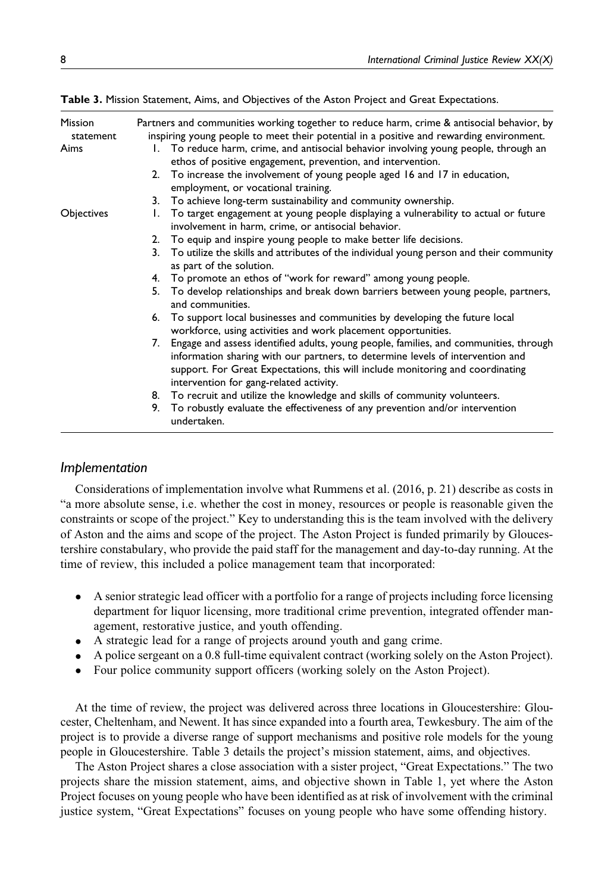| <b>Mission</b><br>statement | Partners and communities working together to reduce harm, crime & antisocial behavior, by<br>inspiring young people to meet their potential in a positive and rewarding environment.                                                                                                                    |
|-----------------------------|---------------------------------------------------------------------------------------------------------------------------------------------------------------------------------------------------------------------------------------------------------------------------------------------------------|
| Aims                        | 1. To reduce harm, crime, and antisocial behavior involving young people, through an<br>ethos of positive engagement, prevention, and intervention.                                                                                                                                                     |
|                             | 2. To increase the involvement of young people aged 16 and 17 in education,<br>employment, or vocational training.                                                                                                                                                                                      |
|                             | 3. To achieve long-term sustainability and community ownership.                                                                                                                                                                                                                                         |
| Objectives                  | 1. To target engagement at young people displaying a vulnerability to actual or future<br>involvement in harm, crime, or antisocial behavior.                                                                                                                                                           |
|                             | 2. To equip and inspire young people to make better life decisions.                                                                                                                                                                                                                                     |
|                             | 3. To utilize the skills and attributes of the individual young person and their community<br>as part of the solution.                                                                                                                                                                                  |
|                             | 4. To promote an ethos of "work for reward" among young people.                                                                                                                                                                                                                                         |
|                             | To develop relationships and break down barriers between young people, partners,<br>5.<br>and communities.                                                                                                                                                                                              |
|                             | 6. To support local businesses and communities by developing the future local<br>workforce, using activities and work placement opportunities.                                                                                                                                                          |
|                             | 7. Engage and assess identified adults, young people, families, and communities, through<br>information sharing with our partners, to determine levels of intervention and<br>support. For Great Expectations, this will include monitoring and coordinating<br>intervention for gang-related activity. |
|                             | 8. To recruit and utilize the knowledge and skills of community volunteers.                                                                                                                                                                                                                             |
|                             | To robustly evaluate the effectiveness of any prevention and/or intervention<br>9.<br>undertaken.                                                                                                                                                                                                       |

Table 3. Mission Statement, Aims, and Objectives of the Aston Project and Great Expectations.

# Implementation

Considerations of implementation involve what Rummens et al. (2016, p. 21) describe as costs in "a more absolute sense, i.e. whether the cost in money, resources or people is reasonable given the constraints or scope of the project." Key to understanding this is the team involved with the delivery of Aston and the aims and scope of the project. The Aston Project is funded primarily by Gloucestershire constabulary, who provide the paid staff for the management and day-to-day running. At the time of review, this included a police management team that incorporated:

- $\bullet$  A senior strategic lead officer with a portfolio for a range of projects including force licensing department for liquor licensing, more traditional crime prevention, integrated offender management, restorative justice, and youth offending.
- A strategic lead for a range of projects around youth and gang crime.
- $\bullet$ A police sergeant on a 0.8 full-time equivalent contract (working solely on the Aston Project).
- $\bullet$ Four police community support officers (working solely on the Aston Project).

At the time of review, the project was delivered across three locations in Gloucestershire: Gloucester, Cheltenham, and Newent. It has since expanded into a fourth area, Tewkesbury. The aim of the project is to provide a diverse range of support mechanisms and positive role models for the young people in Gloucestershire. Table 3 details the project's mission statement, aims, and objectives.

The Aston Project shares a close association with a sister project, "Great Expectations." The two projects share the mission statement, aims, and objective shown in Table 1, yet where the Aston Project focuses on young people who have been identified as at risk of involvement with the criminal justice system, "Great Expectations" focuses on young people who have some offending history.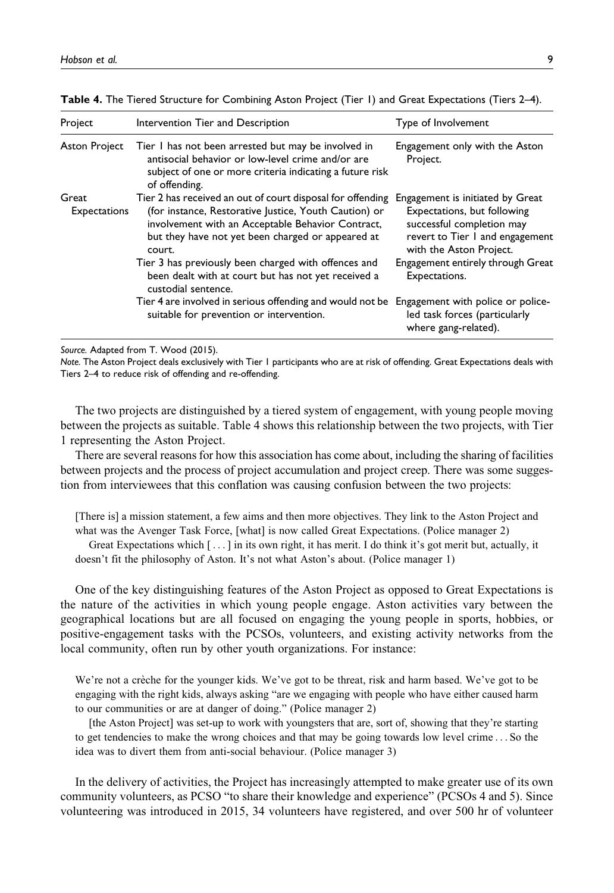| Project                      | Intervention Tier and Description                                                                                                                                                                                                       | Type of Involvement                                                                                                                                        |
|------------------------------|-----------------------------------------------------------------------------------------------------------------------------------------------------------------------------------------------------------------------------------------|------------------------------------------------------------------------------------------------------------------------------------------------------------|
| Aston Project                | Tier I has not been arrested but may be involved in<br>antisocial behavior or low-level crime and/or are<br>subject of one or more criteria indicating a future risk<br>of offending.                                                   | Engagement only with the Aston<br>Project.                                                                                                                 |
| Great<br><b>Expectations</b> | Tier 2 has received an out of court disposal for offending<br>(for instance, Restorative Justice, Youth Caution) or<br>involvement with an Acceptable Behavior Contract,<br>but they have not yet been charged or appeared at<br>court. | Engagement is initiated by Great<br>Expectations, but following<br>successful completion may<br>revert to Tier I and engagement<br>with the Aston Project. |
|                              | Tier 3 has previously been charged with offences and<br>been dealt with at court but has not yet received a<br>custodial sentence.                                                                                                      | Engagement entirely through Great<br>Expectations.                                                                                                         |
|                              | Tier 4 are involved in serious offending and would not be<br>suitable for prevention or intervention.                                                                                                                                   | Engagement with police or police-<br>led task forces (particularly<br>where gang-related).                                                                 |

Table 4. The Tiered Structure for Combining Aston Project (Tier 1) and Great Expectations (Tiers 2-4).

Source. Adapted from T. Wood (2015).

Note. The Aston Project deals exclusively with Tier 1 participants who are at risk of offending. Great Expectations deals with Tiers 2–4 to reduce risk of offending and re-offending.

The two projects are distinguished by a tiered system of engagement, with young people moving between the projects as suitable. Table 4 shows this relationship between the two projects, with Tier 1 representing the Aston Project.

There are several reasons for how this association has come about, including the sharing of facilities between projects and the process of project accumulation and project creep. There was some suggestion from interviewees that this conflation was causing confusion between the two projects:

[There is] a mission statement, a few aims and then more objectives. They link to the Aston Project and what was the Avenger Task Force, [what] is now called Great Expectations. (Police manager 2)

Great Expectations which [ ... ] in its own right, it has merit. I do think it's got merit but, actually, it doesn't fit the philosophy of Aston. It's not what Aston's about. (Police manager 1)

One of the key distinguishing features of the Aston Project as opposed to Great Expectations is the nature of the activities in which young people engage. Aston activities vary between the geographical locations but are all focused on engaging the young people in sports, hobbies, or positive-engagement tasks with the PCSOs, volunteers, and existing activity networks from the local community, often run by other youth organizations. For instance:

We're not a crèche for the younger kids. We've got to be threat, risk and harm based. We've got to be engaging with the right kids, always asking "are we engaging with people who have either caused harm to our communities or are at danger of doing." (Police manager 2)

[the Aston Project] was set-up to work with youngsters that are, sort of, showing that they're starting to get tendencies to make the wrong choices and that may be going towards low level crime ... So the idea was to divert them from anti-social behaviour. (Police manager 3)

In the delivery of activities, the Project has increasingly attempted to make greater use of its own community volunteers, as PCSO "to share their knowledge and experience" (PCSOs 4 and 5). Since volunteering was introduced in 2015, 34 volunteers have registered, and over 500 hr of volunteer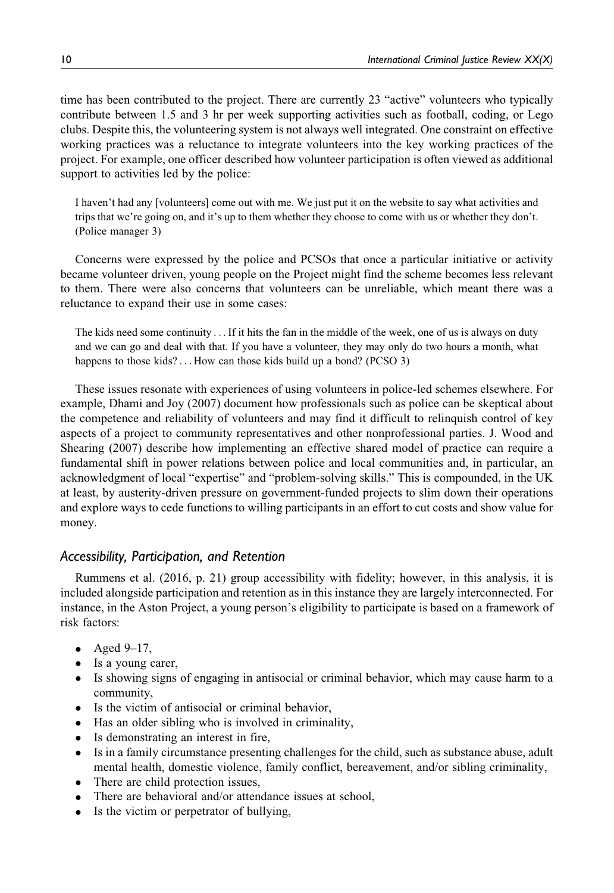time has been contributed to the project. There are currently 23 "active" volunteers who typically contribute between 1.5 and 3 hr per week supporting activities such as football, coding, or Lego clubs. Despite this, the volunteering system is not always well integrated. One constraint on effective working practices was a reluctance to integrate volunteers into the key working practices of the project. For example, one officer described how volunteer participation is often viewed as additional support to activities led by the police:

I haven't had any [volunteers] come out with me. We just put it on the website to say what activities and trips that we're going on, and it's up to them whether they choose to come with us or whether they don't. (Police manager 3)

Concerns were expressed by the police and PCSOs that once a particular initiative or activity became volunteer driven, young people on the Project might find the scheme becomes less relevant to them. There were also concerns that volunteers can be unreliable, which meant there was a reluctance to expand their use in some cases:

The kids need some continuity . . . If it hits the fan in the middle of the week, one of us is always on duty and we can go and deal with that. If you have a volunteer, they may only do two hours a month, what happens to those kids? ... How can those kids build up a bond? (PCSO 3)

These issues resonate with experiences of using volunteers in police-led schemes elsewhere. For example, Dhami and Joy (2007) document how professionals such as police can be skeptical about the competence and reliability of volunteers and may find it difficult to relinquish control of key aspects of a project to community representatives and other nonprofessional parties. J. Wood and Shearing (2007) describe how implementing an effective shared model of practice can require a fundamental shift in power relations between police and local communities and, in particular, an acknowledgment of local "expertise" and "problem-solving skills." This is compounded, in the UK at least, by austerity-driven pressure on government-funded projects to slim down their operations and explore ways to cede functions to willing participants in an effort to cut costs and show value for money.

# Accessibility, Participation, and Retention

Rummens et al. (2016, p. 21) group accessibility with fidelity; however, in this analysis, it is included alongside participation and retention as in this instance they are largely interconnected. For instance, in the Aston Project, a young person's eligibility to participate is based on a framework of risk factors:

- $\bullet$  Aged 9-17,
- Is a young carer,
- Is showing signs of engaging in antisocial or criminal behavior, which may cause harm to a community,
- Is the victim of antisocial or criminal behavior,
- Has an older sibling who is involved in criminality,
- Is demonstrating an interest in fire,
- Is in a family circumstance presenting challenges for the child, such as substance abuse, adult mental health, domestic violence, family conflict, bereavement, and/or sibling criminality,
- There are child protection issues,
- There are behavioral and/or attendance issues at school,
- Is the victim or perpetrator of bullying,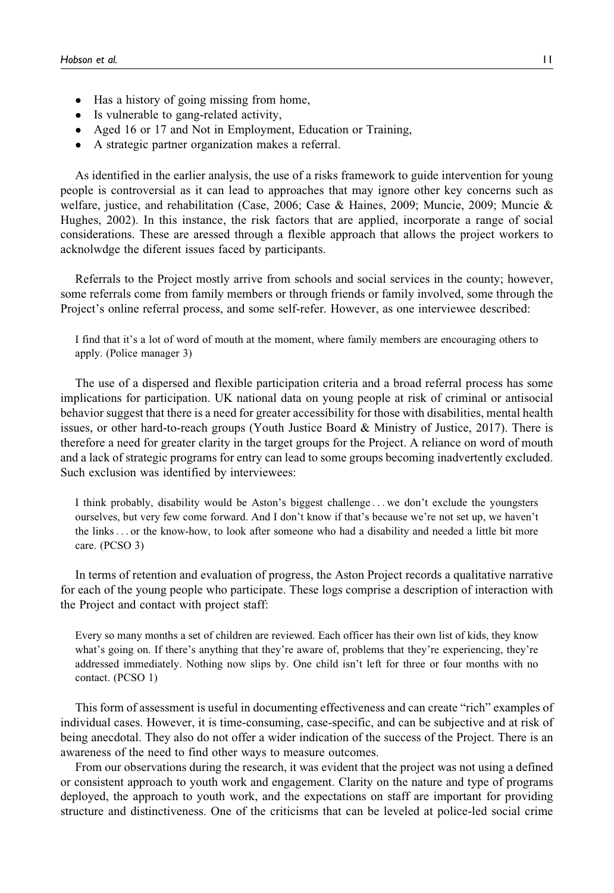- Has a history of going missing from home,
- Is vulnerable to gang-related activity,
- Aged 16 or 17 and Not in Employment, Education or Training,
- A strategic partner organization makes a referral.

As identified in the earlier analysis, the use of a risks framework to guide intervention for young people is controversial as it can lead to approaches that may ignore other key concerns such as welfare, justice, and rehabilitation (Case, 2006; Case & Haines, 2009; Muncie, 2009; Muncie & Hughes, 2002). In this instance, the risk factors that are applied, incorporate a range of social considerations. These are aressed through a flexible approach that allows the project workers to acknolwdge the diferent issues faced by participants.

Referrals to the Project mostly arrive from schools and social services in the county; however, some referrals come from family members or through friends or family involved, some through the Project's online referral process, and some self-refer. However, as one interviewee described:

I find that it's a lot of word of mouth at the moment, where family members are encouraging others to apply. (Police manager 3)

The use of a dispersed and flexible participation criteria and a broad referral process has some implications for participation. UK national data on young people at risk of criminal or antisocial behavior suggest that there is a need for greater accessibility for those with disabilities, mental health issues, or other hard-to-reach groups (Youth Justice Board & Ministry of Justice, 2017). There is therefore a need for greater clarity in the target groups for the Project. A reliance on word of mouth and a lack of strategic programs for entry can lead to some groups becoming inadvertently excluded. Such exclusion was identified by interviewees:

I think probably, disability would be Aston's biggest challenge ... we don't exclude the youngsters ourselves, but very few come forward. And I don't know if that's because we're not set up, we haven't the links... or the know-how, to look after someone who had a disability and needed a little bit more care. (PCSO 3)

In terms of retention and evaluation of progress, the Aston Project records a qualitative narrative for each of the young people who participate. These logs comprise a description of interaction with the Project and contact with project staff:

Every so many months a set of children are reviewed. Each officer has their own list of kids, they know what's going on. If there's anything that they're aware of, problems that they're experiencing, they're addressed immediately. Nothing now slips by. One child isn't left for three or four months with no contact. (PCSO 1)

This form of assessment is useful in documenting effectiveness and can create "rich" examples of individual cases. However, it is time-consuming, case-specific, and can be subjective and at risk of being anecdotal. They also do not offer a wider indication of the success of the Project. There is an awareness of the need to find other ways to measure outcomes.

From our observations during the research, it was evident that the project was not using a defined or consistent approach to youth work and engagement. Clarity on the nature and type of programs deployed, the approach to youth work, and the expectations on staff are important for providing structure and distinctiveness. One of the criticisms that can be leveled at police-led social crime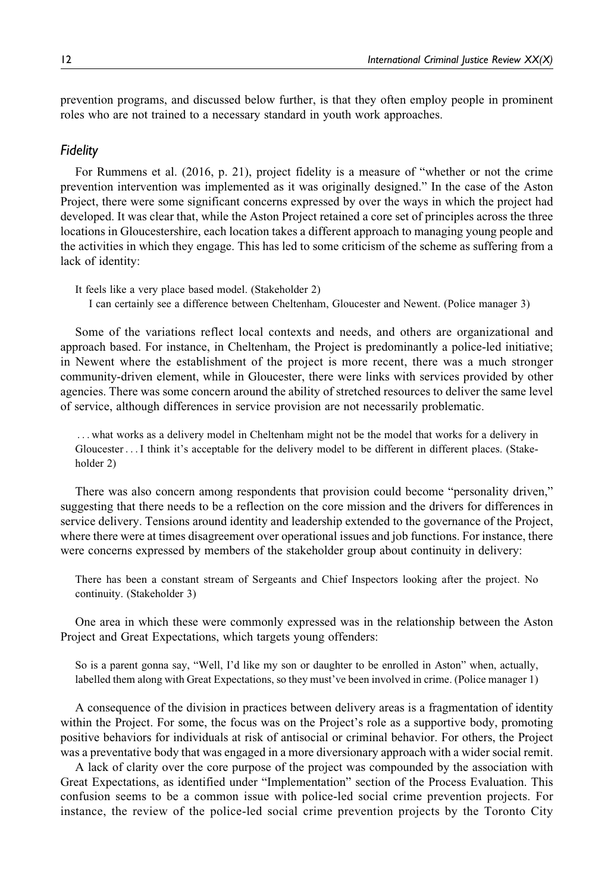prevention programs, and discussed below further, is that they often employ people in prominent roles who are not trained to a necessary standard in youth work approaches.

#### Fidelity

For Rummens et al. (2016, p. 21), project fidelity is a measure of "whether or not the crime prevention intervention was implemented as it was originally designed." In the case of the Aston Project, there were some significant concerns expressed by over the ways in which the project had developed. It was clear that, while the Aston Project retained a core set of principles across the three locations in Gloucestershire, each location takes a different approach to managing young people and the activities in which they engage. This has led to some criticism of the scheme as suffering from a lack of identity:

It feels like a very place based model. (Stakeholder 2) I can certainly see a difference between Cheltenham, Gloucester and Newent. (Police manager 3)

Some of the variations reflect local contexts and needs, and others are organizational and approach based. For instance, in Cheltenham, the Project is predominantly a police-led initiative; in Newent where the establishment of the project is more recent, there was a much stronger community-driven element, while in Gloucester, there were links with services provided by other agencies. There was some concern around the ability of stretched resources to deliver the same level of service, although differences in service provision are not necessarily problematic.

... what works as a delivery model in Cheltenham might not be the model that works for a delivery in Gloucester ... I think it's acceptable for the delivery model to be different in different places. (Stakeholder 2)

There was also concern among respondents that provision could become "personality driven," suggesting that there needs to be a reflection on the core mission and the drivers for differences in service delivery. Tensions around identity and leadership extended to the governance of the Project, where there were at times disagreement over operational issues and job functions. For instance, there were concerns expressed by members of the stakeholder group about continuity in delivery:

There has been a constant stream of Sergeants and Chief Inspectors looking after the project. No continuity. (Stakeholder 3)

One area in which these were commonly expressed was in the relationship between the Aston Project and Great Expectations, which targets young offenders:

So is a parent gonna say, "Well, I'd like my son or daughter to be enrolled in Aston" when, actually, labelled them along with Great Expectations, so they must've been involved in crime. (Police manager 1)

A consequence of the division in practices between delivery areas is a fragmentation of identity within the Project. For some, the focus was on the Project's role as a supportive body, promoting positive behaviors for individuals at risk of antisocial or criminal behavior. For others, the Project was a preventative body that was engaged in a more diversionary approach with a wider social remit.

A lack of clarity over the core purpose of the project was compounded by the association with Great Expectations, as identified under "Implementation" section of the Process Evaluation. This confusion seems to be a common issue with police-led social crime prevention projects. For instance, the review of the police-led social crime prevention projects by the Toronto City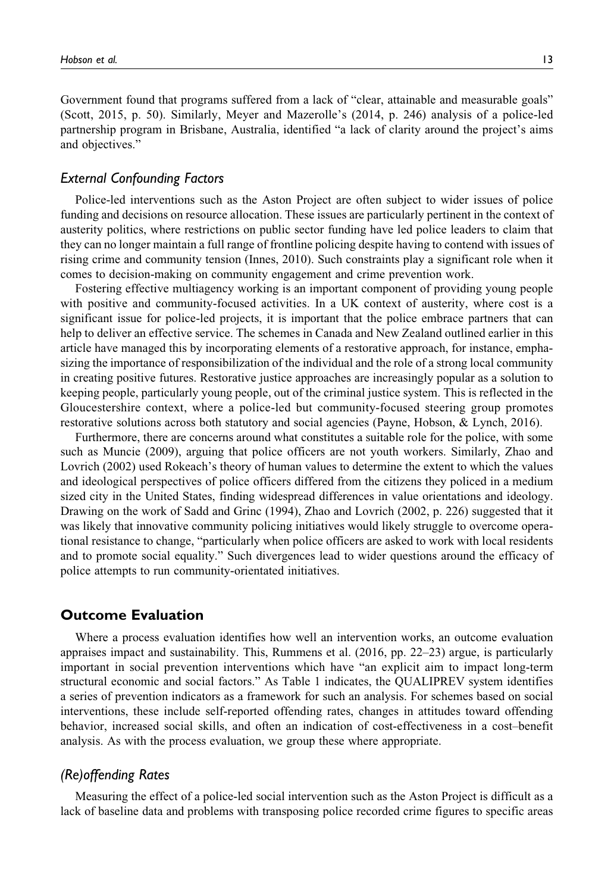Government found that programs suffered from a lack of "clear, attainable and measurable goals" (Scott, 2015, p. 50). Similarly, Meyer and Mazerolle's (2014, p. 246) analysis of a police-led partnership program in Brisbane, Australia, identified "a lack of clarity around the project's aims and objectives."

## External Confounding Factors

Police-led interventions such as the Aston Project are often subject to wider issues of police funding and decisions on resource allocation. These issues are particularly pertinent in the context of austerity politics, where restrictions on public sector funding have led police leaders to claim that they can no longer maintain a full range of frontline policing despite having to contend with issues of rising crime and community tension (Innes, 2010). Such constraints play a significant role when it comes to decision-making on community engagement and crime prevention work.

Fostering effective multiagency working is an important component of providing young people with positive and community-focused activities. In a UK context of austerity, where cost is a significant issue for police-led projects, it is important that the police embrace partners that can help to deliver an effective service. The schemes in Canada and New Zealand outlined earlier in this article have managed this by incorporating elements of a restorative approach, for instance, emphasizing the importance of responsibilization of the individual and the role of a strong local community in creating positive futures. Restorative justice approaches are increasingly popular as a solution to keeping people, particularly young people, out of the criminal justice system. This is reflected in the Gloucestershire context, where a police-led but community-focused steering group promotes restorative solutions across both statutory and social agencies (Payne, Hobson, & Lynch, 2016).

Furthermore, there are concerns around what constitutes a suitable role for the police, with some such as Muncie (2009), arguing that police officers are not youth workers. Similarly, Zhao and Lovrich (2002) used Rokeach's theory of human values to determine the extent to which the values and ideological perspectives of police officers differed from the citizens they policed in a medium sized city in the United States, finding widespread differences in value orientations and ideology. Drawing on the work of Sadd and Grinc (1994), Zhao and Lovrich (2002, p. 226) suggested that it was likely that innovative community policing initiatives would likely struggle to overcome operational resistance to change, "particularly when police officers are asked to work with local residents and to promote social equality." Such divergences lead to wider questions around the efficacy of police attempts to run community-orientated initiatives.

## Outcome Evaluation

Where a process evaluation identifies how well an intervention works, an outcome evaluation appraises impact and sustainability. This, Rummens et al. (2016, pp. 22–23) argue, is particularly important in social prevention interventions which have "an explicit aim to impact long-term structural economic and social factors." As Table 1 indicates, the QUALIPREV system identifies a series of prevention indicators as a framework for such an analysis. For schemes based on social interventions, these include self-reported offending rates, changes in attitudes toward offending behavior, increased social skills, and often an indication of cost-effectiveness in a cost–benefit analysis. As with the process evaluation, we group these where appropriate.

#### (Re)offending Rates

Measuring the effect of a police-led social intervention such as the Aston Project is difficult as a lack of baseline data and problems with transposing police recorded crime figures to specific areas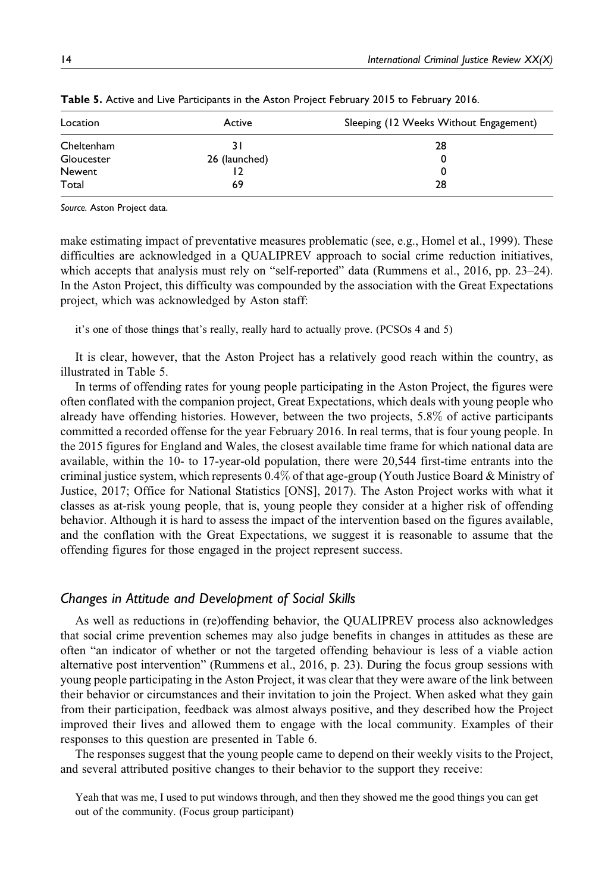| Location   | Active        | Sleeping (12 Weeks Without Engagement) |
|------------|---------------|----------------------------------------|
| Cheltenham |               | 28                                     |
| Gloucester | 26 (launched) | 0                                      |
| Newent     |               | 0                                      |
| Total      | 69            | 28                                     |

Table 5. Active and Live Participants in the Aston Project February 2015 to February 2016.

Source. Aston Project data.

make estimating impact of preventative measures problematic (see, e.g., Homel et al., 1999). These difficulties are acknowledged in a QUALIPREV approach to social crime reduction initiatives, which accepts that analysis must rely on "self-reported" data (Rummens et al., 2016, pp. 23–24). In the Aston Project, this difficulty was compounded by the association with the Great Expectations project, which was acknowledged by Aston staff:

it's one of those things that's really, really hard to actually prove. (PCSOs 4 and 5)

It is clear, however, that the Aston Project has a relatively good reach within the country, as illustrated in Table 5.

In terms of offending rates for young people participating in the Aston Project, the figures were often conflated with the companion project, Great Expectations, which deals with young people who already have offending histories. However, between the two projects, 5.8% of active participants committed a recorded offense for the year February 2016. In real terms, that is four young people. In the 2015 figures for England and Wales, the closest available time frame for which national data are available, within the 10- to 17-year-old population, there were 20,544 first-time entrants into the criminal justice system, which represents 0.4% of that age-group (Youth Justice Board & Ministry of Justice, 2017; Office for National Statistics [ONS], 2017). The Aston Project works with what it classes as at-risk young people, that is, young people they consider at a higher risk of offending behavior. Although it is hard to assess the impact of the intervention based on the figures available, and the conflation with the Great Expectations, we suggest it is reasonable to assume that the offending figures for those engaged in the project represent success.

#### Changes in Attitude and Development of Social Skills

As well as reductions in (re)offending behavior, the QUALIPREV process also acknowledges that social crime prevention schemes may also judge benefits in changes in attitudes as these are often "an indicator of whether or not the targeted offending behaviour is less of a viable action alternative post intervention" (Rummens et al., 2016, p. 23). During the focus group sessions with young people participating in the Aston Project, it was clear that they were aware of the link between their behavior or circumstances and their invitation to join the Project. When asked what they gain from their participation, feedback was almost always positive, and they described how the Project improved their lives and allowed them to engage with the local community. Examples of their responses to this question are presented in Table 6.

The responses suggest that the young people came to depend on their weekly visits to the Project, and several attributed positive changes to their behavior to the support they receive:

Yeah that was me, I used to put windows through, and then they showed me the good things you can get out of the community. (Focus group participant)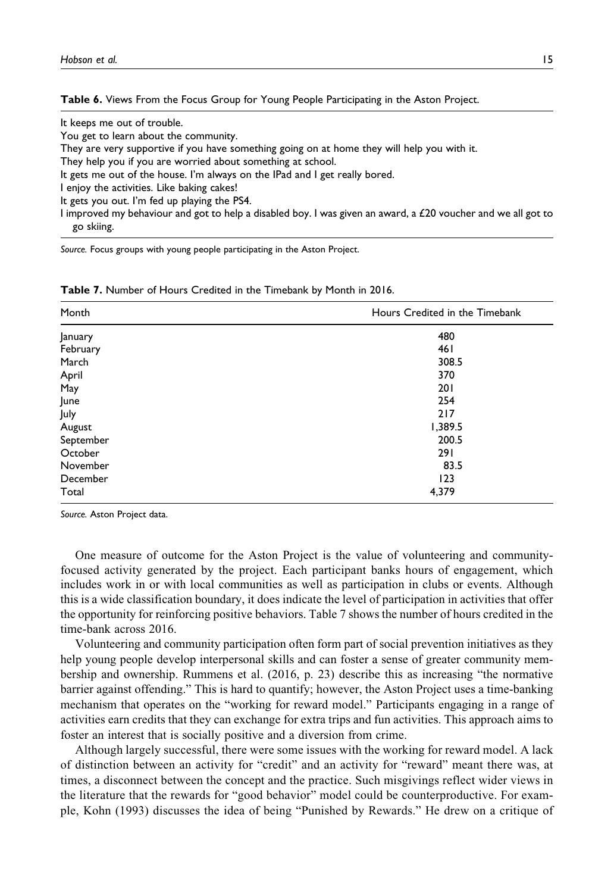Table 6. Views From the Focus Group for Young People Participating in the Aston Project.

It keeps me out of trouble.

You get to learn about the community.

They are very supportive if you have something going on at home they will help you with it.

They help you if you are worried about something at school.

It gets me out of the house. I'm always on the IPad and I get really bored.

I enjoy the activities. Like baking cakes!

It gets you out. I'm fed up playing the PS4.

I improved my behaviour and got to help a disabled boy. I was given an award, a £20 voucher and we all got to go skiing.

Source. Focus groups with young people participating in the Aston Project.

| Month     | Hours Credited in the Timebank |  |
|-----------|--------------------------------|--|
| January   | 480                            |  |
| February  | 461                            |  |
| March     | 308.5                          |  |
| April     | 370                            |  |
| May       | 201                            |  |
| June      | 254                            |  |
| July      | 217                            |  |
| August    | 1,389.5                        |  |
| September | 200.5                          |  |
| October   | 291                            |  |
| November  | 83.5                           |  |
| December  | 123                            |  |
| Total     | 4,379                          |  |

Table 7. Number of Hours Credited in the Timebank by Month in 2016.

Source. Aston Project data.

One measure of outcome for the Aston Project is the value of volunteering and communityfocused activity generated by the project. Each participant banks hours of engagement, which includes work in or with local communities as well as participation in clubs or events. Although this is a wide classification boundary, it does indicate the level of participation in activities that offer the opportunity for reinforcing positive behaviors. Table 7 shows the number of hours credited in the time-bank across 2016.

Volunteering and community participation often form part of social prevention initiatives as they help young people develop interpersonal skills and can foster a sense of greater community membership and ownership. Rummens et al. (2016, p. 23) describe this as increasing "the normative barrier against offending." This is hard to quantify; however, the Aston Project uses a time-banking mechanism that operates on the "working for reward model." Participants engaging in a range of activities earn credits that they can exchange for extra trips and fun activities. This approach aims to foster an interest that is socially positive and a diversion from crime.

Although largely successful, there were some issues with the working for reward model. A lack of distinction between an activity for "credit" and an activity for "reward" meant there was, at times, a disconnect between the concept and the practice. Such misgivings reflect wider views in the literature that the rewards for "good behavior" model could be counterproductive. For example, Kohn (1993) discusses the idea of being "Punished by Rewards." He drew on a critique of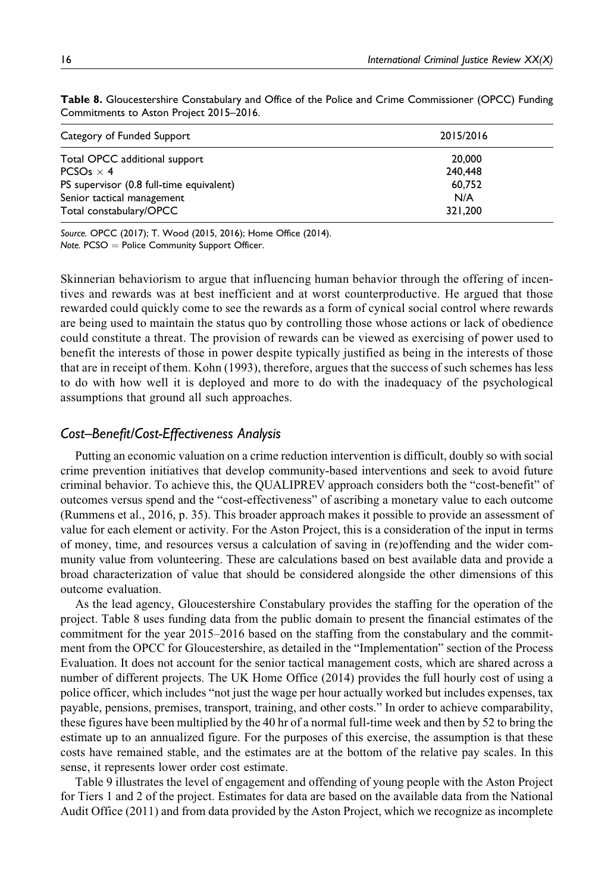| Category of Funded Support               | 2015/2016 |
|------------------------------------------|-----------|
| Total OPCC additional support            | 20,000    |
| PCSO <sub>s</sub> $\times$ 4             | 240,448   |
| PS supervisor (0.8 full-time equivalent) | 60.752    |
| Senior tactical management               | N/A       |
| Total constabulary/OPCC                  | 321,200   |

Table 8. Gloucestershire Constabulary and Office of the Police and Crime Commissioner (OPCC) Funding Commitments to Aston Project 2015–2016.

Source. OPCC (2017); T. Wood (2015, 2016); Home Office (2014).

Note.  $PCSO =$  Police Community Support Officer.

Skinnerian behaviorism to argue that influencing human behavior through the offering of incentives and rewards was at best inefficient and at worst counterproductive. He argued that those rewarded could quickly come to see the rewards as a form of cynical social control where rewards are being used to maintain the status quo by controlling those whose actions or lack of obedience could constitute a threat. The provision of rewards can be viewed as exercising of power used to benefit the interests of those in power despite typically justified as being in the interests of those that are in receipt of them. Kohn (1993), therefore, argues that the success of such schemes has less to do with how well it is deployed and more to do with the inadequacy of the psychological assumptions that ground all such approaches.

### Cost–Benefit/Cost-Effectiveness Analysis

Putting an economic valuation on a crime reduction intervention is difficult, doubly so with social crime prevention initiatives that develop community-based interventions and seek to avoid future criminal behavior. To achieve this, the QUALIPREV approach considers both the "cost-benefit" of outcomes versus spend and the "cost-effectiveness" of ascribing a monetary value to each outcome (Rummens et al., 2016, p. 35). This broader approach makes it possible to provide an assessment of value for each element or activity. For the Aston Project, this is a consideration of the input in terms of money, time, and resources versus a calculation of saving in (re)offending and the wider community value from volunteering. These are calculations based on best available data and provide a broad characterization of value that should be considered alongside the other dimensions of this outcome evaluation.

As the lead agency, Gloucestershire Constabulary provides the staffing for the operation of the project. Table 8 uses funding data from the public domain to present the financial estimates of the commitment for the year 2015–2016 based on the staffing from the constabulary and the commitment from the OPCC for Gloucestershire, as detailed in the "Implementation" section of the Process Evaluation. It does not account for the senior tactical management costs, which are shared across a number of different projects. The UK Home Office (2014) provides the full hourly cost of using a police officer, which includes "not just the wage per hour actually worked but includes expenses, tax payable, pensions, premises, transport, training, and other costs." In order to achieve comparability, these figures have been multiplied by the 40 hr of a normal full-time week and then by 52 to bring the estimate up to an annualized figure. For the purposes of this exercise, the assumption is that these costs have remained stable, and the estimates are at the bottom of the relative pay scales. In this sense, it represents lower order cost estimate.

Table 9 illustrates the level of engagement and offending of young people with the Aston Project for Tiers 1 and 2 of the project. Estimates for data are based on the available data from the National Audit Office (2011) and from data provided by the Aston Project, which we recognize as incomplete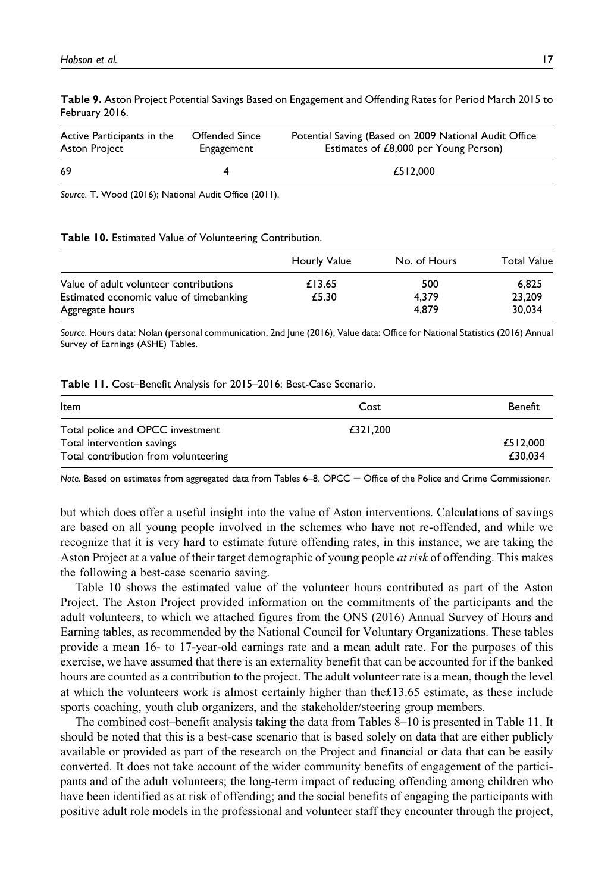| Table 9. Aston Project Potential Savings Based on Engagement and Offending Rates for Period March 2015 to |
|-----------------------------------------------------------------------------------------------------------|
| February 2016.                                                                                            |
|                                                                                                           |

| Active Participants in the | <b>Offended Since</b> | Potential Saving (Based on 2009 National Audit Office |
|----------------------------|-----------------------|-------------------------------------------------------|
| Aston Project              | Engagement            | Estimates of £8,000 per Young Person)                 |
| 69                         |                       | £512,000                                              |

Source. T. Wood (2016); National Audit Office (2011).

#### Table 10. Estimated Value of Volunteering Contribution.

|                                         | Hourly Value | No. of Hours | <b>Total Value</b> |
|-----------------------------------------|--------------|--------------|--------------------|
| Value of adult volunteer contributions  | £13.65       | 500          | 6.825              |
| Estimated economic value of timebanking | £5.30        | 4.379        | 23,209             |
| Aggregate hours                         |              | 4.879        | 30.034             |

Source. Hours data: Nolan (personal communication, 2nd June (2016); Value data: Office for National Statistics (2016) Annual Survey of Earnings (ASHE) Tables.

#### Table 11. Cost–Benefit Analysis for 2015–2016: Best-Case Scenario.

| Benefit                         |
|---------------------------------|
| £321,200<br>£512,000<br>£30.034 |
|                                 |

Note. Based on estimates from aggregated data from Tables 6–8. OPCC = Office of the Police and Crime Commissioner.

but which does offer a useful insight into the value of Aston interventions. Calculations of savings are based on all young people involved in the schemes who have not re-offended, and while we recognize that it is very hard to estimate future offending rates, in this instance, we are taking the Aston Project at a value of their target demographic of young people at risk of offending. This makes the following a best-case scenario saving.

Table 10 shows the estimated value of the volunteer hours contributed as part of the Aston Project. The Aston Project provided information on the commitments of the participants and the adult volunteers, to which we attached figures from the ONS (2016) Annual Survey of Hours and Earning tables, as recommended by the National Council for Voluntary Organizations. These tables provide a mean 16- to 17-year-old earnings rate and a mean adult rate. For the purposes of this exercise, we have assumed that there is an externality benefit that can be accounted for if the banked hours are counted as a contribution to the project. The adult volunteer rate is a mean, though the level at which the volunteers work is almost certainly higher than the£13.65 estimate, as these include sports coaching, youth club organizers, and the stakeholder/steering group members.

The combined cost–benefit analysis taking the data from Tables 8–10 is presented in Table 11. It should be noted that this is a best-case scenario that is based solely on data that are either publicly available or provided as part of the research on the Project and financial or data that can be easily converted. It does not take account of the wider community benefits of engagement of the participants and of the adult volunteers; the long-term impact of reducing offending among children who have been identified as at risk of offending; and the social benefits of engaging the participants with positive adult role models in the professional and volunteer staff they encounter through the project,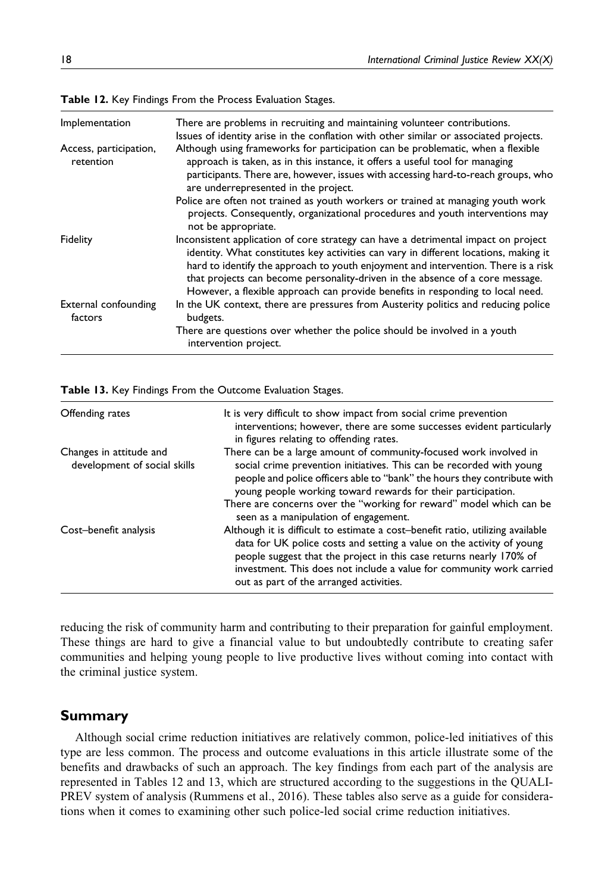| Implementation                      | There are problems in recruiting and maintaining volunteer contributions.<br>Issues of identity arise in the conflation with other similar or associated projects.                                                                                                                                                                                                                                                                  |
|-------------------------------------|-------------------------------------------------------------------------------------------------------------------------------------------------------------------------------------------------------------------------------------------------------------------------------------------------------------------------------------------------------------------------------------------------------------------------------------|
| Access, participation,<br>retention | Although using frameworks for participation can be problematic, when a flexible<br>approach is taken, as in this instance, it offers a useful tool for managing<br>participants. There are, however, issues with accessing hard-to-reach groups, who<br>are underrepresented in the project.                                                                                                                                        |
|                                     | Police are often not trained as youth workers or trained at managing youth work<br>projects. Consequently, organizational procedures and youth interventions may<br>not be appropriate.                                                                                                                                                                                                                                             |
| Fidelity                            | Inconsistent application of core strategy can have a detrimental impact on project<br>identity. What constitutes key activities can vary in different locations, making it<br>hard to identify the approach to youth enjoyment and intervention. There is a risk<br>that projects can become personality-driven in the absence of a core message.<br>However, a flexible approach can provide benefits in responding to local need. |
| External confounding<br>factors     | In the UK context, there are pressures from Austerity politics and reducing police<br>budgets.                                                                                                                                                                                                                                                                                                                                      |
|                                     | There are questions over whether the police should be involved in a youth<br>intervention project.                                                                                                                                                                                                                                                                                                                                  |

Table 12. Key Findings From the Process Evaluation Stages.

| Table 13. Key Findings From the Outcome Evaluation Stages. |  |  |  |  |  |
|------------------------------------------------------------|--|--|--|--|--|
|------------------------------------------------------------|--|--|--|--|--|

| Offending rates                                         | It is very difficult to show impact from social crime prevention<br>interventions; however, there are some successes evident particularly<br>in figures relating to offending rates.                                                                                                                                                              |
|---------------------------------------------------------|---------------------------------------------------------------------------------------------------------------------------------------------------------------------------------------------------------------------------------------------------------------------------------------------------------------------------------------------------|
| Changes in attitude and<br>development of social skills | There can be a large amount of community-focused work involved in<br>social crime prevention initiatives. This can be recorded with young<br>people and police officers able to "bank" the hours they contribute with<br>young people working toward rewards for their participation.                                                             |
|                                                         | There are concerns over the "working for reward" model which can be<br>seen as a manipulation of engagement.                                                                                                                                                                                                                                      |
| Cost-benefit analysis                                   | Although it is difficult to estimate a cost-benefit ratio, utilizing available<br>data for UK police costs and setting a value on the activity of young<br>people suggest that the project in this case returns nearly 170% of<br>investment. This does not include a value for community work carried<br>out as part of the arranged activities. |

reducing the risk of community harm and contributing to their preparation for gainful employment. These things are hard to give a financial value to but undoubtedly contribute to creating safer communities and helping young people to live productive lives without coming into contact with the criminal justice system.

#### Summary

Although social crime reduction initiatives are relatively common, police-led initiatives of this type are less common. The process and outcome evaluations in this article illustrate some of the benefits and drawbacks of such an approach. The key findings from each part of the analysis are represented in Tables 12 and 13, which are structured according to the suggestions in the QUALI-PREV system of analysis (Rummens et al., 2016). These tables also serve as a guide for considerations when it comes to examining other such police-led social crime reduction initiatives.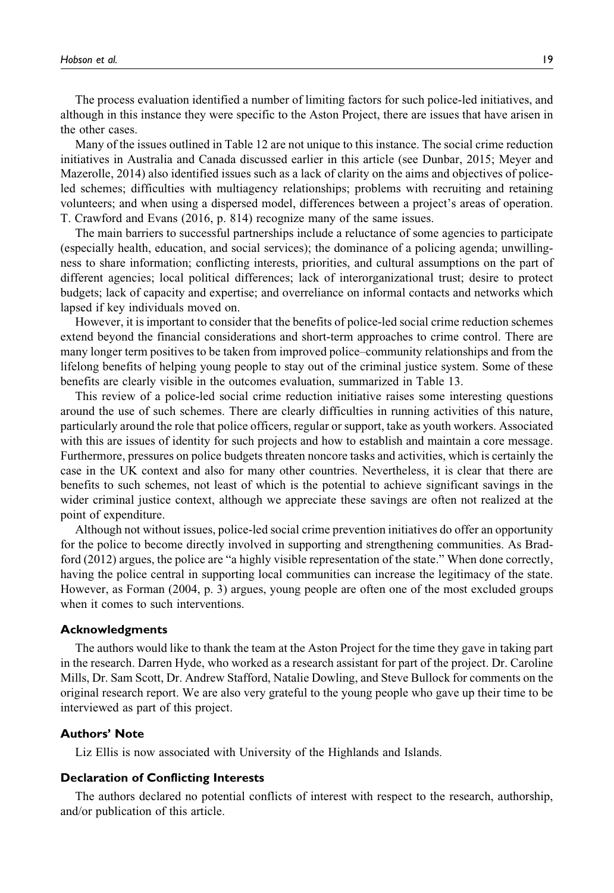The process evaluation identified a number of limiting factors for such police-led initiatives, and although in this instance they were specific to the Aston Project, there are issues that have arisen in the other cases.

Many of the issues outlined in Table 12 are not unique to this instance. The social crime reduction initiatives in Australia and Canada discussed earlier in this article (see Dunbar, 2015; Meyer and Mazerolle, 2014) also identified issues such as a lack of clarity on the aims and objectives of policeled schemes; difficulties with multiagency relationships; problems with recruiting and retaining volunteers; and when using a dispersed model, differences between a project's areas of operation. T. Crawford and Evans (2016, p. 814) recognize many of the same issues.

The main barriers to successful partnerships include a reluctance of some agencies to participate (especially health, education, and social services); the dominance of a policing agenda; unwillingness to share information; conflicting interests, priorities, and cultural assumptions on the part of different agencies; local political differences; lack of interorganizational trust; desire to protect budgets; lack of capacity and expertise; and overreliance on informal contacts and networks which lapsed if key individuals moved on.

However, it is important to consider that the benefits of police-led social crime reduction schemes extend beyond the financial considerations and short-term approaches to crime control. There are many longer term positives to be taken from improved police–community relationships and from the lifelong benefits of helping young people to stay out of the criminal justice system. Some of these benefits are clearly visible in the outcomes evaluation, summarized in Table 13.

This review of a police-led social crime reduction initiative raises some interesting questions around the use of such schemes. There are clearly difficulties in running activities of this nature, particularly around the role that police officers, regular or support, take as youth workers. Associated with this are issues of identity for such projects and how to establish and maintain a core message. Furthermore, pressures on police budgets threaten noncore tasks and activities, which is certainly the case in the UK context and also for many other countries. Nevertheless, it is clear that there are benefits to such schemes, not least of which is the potential to achieve significant savings in the wider criminal justice context, although we appreciate these savings are often not realized at the point of expenditure.

Although not without issues, police-led social crime prevention initiatives do offer an opportunity for the police to become directly involved in supporting and strengthening communities. As Bradford (2012) argues, the police are "a highly visible representation of the state." When done correctly, having the police central in supporting local communities can increase the legitimacy of the state. However, as Forman (2004, p. 3) argues, young people are often one of the most excluded groups when it comes to such interventions.

#### Acknowledgments

The authors would like to thank the team at the Aston Project for the time they gave in taking part in the research. Darren Hyde, who worked as a research assistant for part of the project. Dr. Caroline Mills, Dr. Sam Scott, Dr. Andrew Stafford, Natalie Dowling, and Steve Bullock for comments on the original research report. We are also very grateful to the young people who gave up their time to be interviewed as part of this project.

#### Authors' Note

Liz Ellis is now associated with University of the Highlands and Islands.

#### Declaration of Conflicting Interests

The authors declared no potential conflicts of interest with respect to the research, authorship, and/or publication of this article.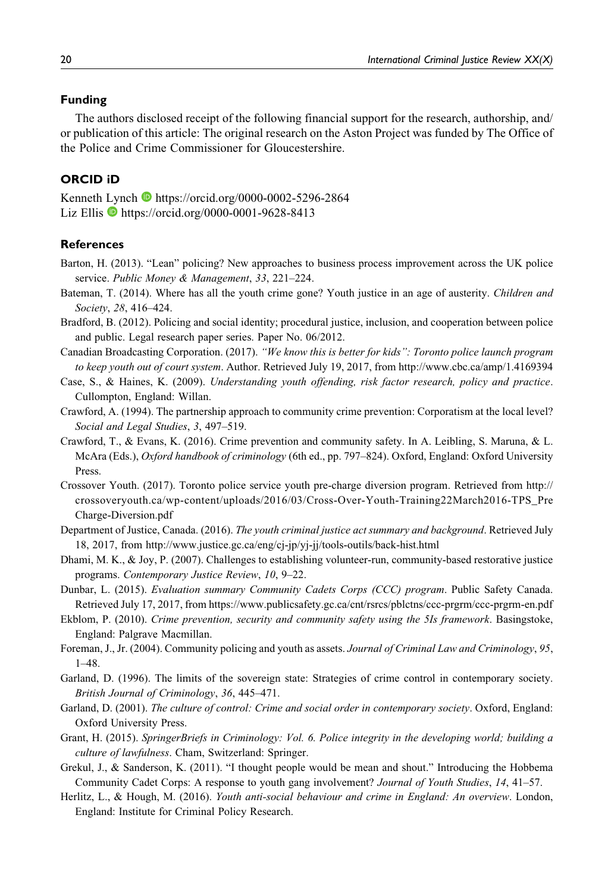#### Funding

The authors disclosed receipt of the following financial support for the research, authorship, and/ or publication of this article: The original research on the Aston Project was funded by The Office of the Police and Crime Commissioner for Gloucestershire.

### ORCID iD

Kenneth Lynch <https://orcid.org/0000-0002-5296-2864> Liz Ellis <https://orcid.org/0000-0001-9628-8413>

#### **References**

- Barton, H. (2013). "Lean" policing? New approaches to business process improvement across the UK police service. Public Money & Management, 33, 221–224.
- Bateman, T. (2014). Where has all the youth crime gone? Youth justice in an age of austerity. Children and Society, 28, 416–424.
- Bradford, B. (2012). Policing and social identity; procedural justice, inclusion, and cooperation between police and public. Legal research paper series. Paper No. 06/2012.
- Canadian Broadcasting Corporation. (2017). "We know this is better for kids": Toronto police launch program to keep youth out of court system. Author. Retrieved July 19, 2017, from<http://www.cbc.ca/amp/1.4169394>
- Case, S., & Haines, K. (2009). Understanding youth offending, risk factor research, policy and practice. Cullompton, England: Willan.
- Crawford, A. (1994). The partnership approach to community crime prevention: Corporatism at the local level? Social and Legal Studies, 3, 497–519.
- Crawford, T., & Evans, K. (2016). Crime prevention and community safety. In A. Leibling, S. Maruna, & L. McAra (Eds.), Oxford handbook of criminology (6th ed., pp. 797–824). Oxford, England: Oxford University Press.
- Crossover Youth. (2017). Toronto police service youth pre-charge diversion program. Retrieved from [http://](http://crossoveryouth.ca/wp-content/uploads/2016/03/Cross-Over-Youth-Training22March2016-TPS_PreCharge-Diversion.pdf) [crossoveryouth.ca/wp-content/uploads/2016/03/Cross-Over-Youth-Training22March2016-TPS\\_Pre](http://crossoveryouth.ca/wp-content/uploads/2016/03/Cross-Over-Youth-Training22March2016-TPS_PreCharge-Diversion.pdf) [Charge-Diversion.pdf](http://crossoveryouth.ca/wp-content/uploads/2016/03/Cross-Over-Youth-Training22March2016-TPS_PreCharge-Diversion.pdf)
- Department of Justice, Canada. (2016). The youth criminal justice act summary and background. Retrieved July 18, 2017, from<http://www.justice.gc.ca/eng/cj-jp/yj-jj/tools-outils/back-hist.html>
- Dhami, M. K., & Joy, P. (2007). Challenges to establishing volunteer-run, community-based restorative justice programs. Contemporary Justice Review, 10, 9–22.
- Dunbar, L. (2015). Evaluation summary Community Cadets Corps (CCC) program. Public Safety Canada. Retrieved July 17, 2017, from<https://www.publicsafety.gc.ca/cnt/rsrcs/pblctns/ccc-prgrm/ccc-prgrm-en.pdf>
- Ekblom, P. (2010). Crime prevention, security and community safety using the 5Is framework. Basingstoke, England: Palgrave Macmillan.
- Foreman, J., Jr. (2004). Community policing and youth as assets. Journal of Criminal Law and Criminology, 95, 1–48.
- Garland, D. (1996). The limits of the sovereign state: Strategies of crime control in contemporary society. British Journal of Criminology, 36, 445–471.
- Garland, D. (2001). The culture of control: Crime and social order in contemporary society. Oxford, England: Oxford University Press.
- Grant, H. (2015). SpringerBriefs in Criminology: Vol. 6. Police integrity in the developing world; building a culture of lawfulness. Cham, Switzerland: Springer.
- Grekul, J., & Sanderson, K. (2011). "I thought people would be mean and shout." Introducing the Hobbema Community Cadet Corps: A response to youth gang involvement? Journal of Youth Studies, 14, 41–57.
- Herlitz, L., & Hough, M. (2016). Youth anti-social behaviour and crime in England: An overview. London, England: Institute for Criminal Policy Research.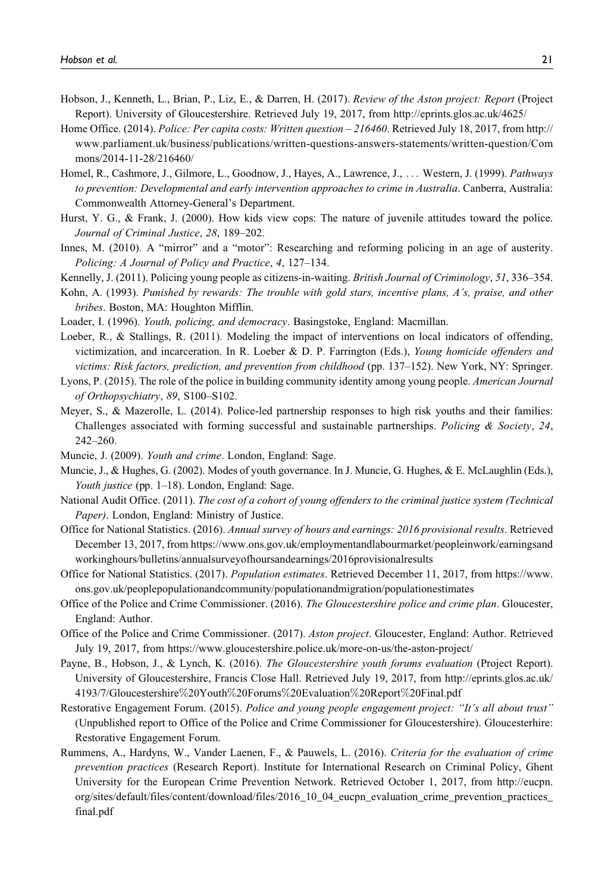- Hobson, J., Kenneth, L., Brian, P., Liz, E., & Darren, H. (2017). Review of the Aston project: Report (Project Report). University of Gloucestershire. Retrieved July 19, 2017, from<http://eprints.glos.ac.uk/4625/>
- Home Office. (2014). Police: Per capita costs: Written question 216460. Retrieved July 18, 2017, from [http://](http://www.parliament.uk/business/publications/written-questions-answers-statements/written-question/Commons/2014-11-28/216460/) [www.parliament.uk/business/publications/written-questions-answers-statements/written-question/Com](http://www.parliament.uk/business/publications/written-questions-answers-statements/written-question/Commons/2014-11-28/216460/) [mons/2014-11-28/216460/](http://www.parliament.uk/business/publications/written-questions-answers-statements/written-question/Commons/2014-11-28/216460/)
- Homel, R., Cashmore, J., Gilmore, L., Goodnow, J., Hayes, A., Lawrence, J., ... Western, J. (1999). Pathways to prevention: Developmental and early intervention approaches to crime in Australia. Canberra, Australia: Commonwealth Attorney-General's Department.
- Hurst, Y. G., & Frank, J. (2000). How kids view cops: The nature of juvenile attitudes toward the police. Journal of Criminal Justice, 28, 189–202.
- Innes, M. (2010). A "mirror" and a "motor": Researching and reforming policing in an age of austerity. Policing: A Journal of Policy and Practice, 4, 127–134.
- Kennelly, J. (2011). Policing young people as citizens-in-waiting. British Journal of Criminology, 51, 336–354.
- Kohn, A. (1993). Punished by rewards: The trouble with gold stars, incentive plans, A's, praise, and other bribes. Boston, MA: Houghton Mifflin.
- Loader, I. (1996). Youth, policing, and democracy. Basingstoke, England: Macmillan.
- Loeber, R., & Stallings, R. (2011). Modeling the impact of interventions on local indicators of offending, victimization, and incarceration. In R. Loeber & D. P. Farrington (Eds.), Young homicide offenders and victims: Risk factors, prediction, and prevention from childhood (pp. 137–152). New York, NY: Springer.
- Lyons, P. (2015). The role of the police in building community identity among young people. American Journal of Orthopsychiatry, 89, S100–S102.
- Meyer, S., & Mazerolle, L. (2014). Police-led partnership responses to high risk youths and their families: Challenges associated with forming successful and sustainable partnerships. Policing  $\&$  Society, 24, 242–260.
- Muncie, J. (2009). Youth and crime. London, England: Sage.
- Muncie, J., & Hughes, G. (2002). Modes of youth governance. In J. Muncie, G. Hughes, & E. McLaughlin (Eds.), Youth justice (pp. 1–18). London, England: Sage.
- National Audit Office. (2011). The cost of a cohort of young offenders to the criminal justice system (Technical Paper). London, England: Ministry of Justice.
- Office for National Statistics. (2016). Annual survey of hours and earnings: 2016 provisional results. Retrieved December 13, 2017, from [https://www.ons.gov.uk/employmentandlabourmarket/peopleinwork/earningsand](https://www.ons.gov.uk/employmentandlabourmarket/peopleinwork/earningsandworkinghours/bulletins/annualsurveyofhoursandearnings/2016provisionalresults) [workinghours/bulletins/annualsurveyofhoursandearnings/2016provisionalresults](https://www.ons.gov.uk/employmentandlabourmarket/peopleinwork/earningsandworkinghours/bulletins/annualsurveyofhoursandearnings/2016provisionalresults)
- Office for National Statistics. (2017). Population estimates. Retrieved December 11, 2017, from [https://www.](https://www.ons.gov.uk/peoplepopulationandcommunity/populationandmigration/populationestimates) [ons.gov.uk/peoplepopulationandcommunity/populationandmigration/populationestimates](https://www.ons.gov.uk/peoplepopulationandcommunity/populationandmigration/populationestimates)
- Office of the Police and Crime Commissioner. (2016). The Gloucestershire police and crime plan. Gloucester, England: Author.
- Office of the Police and Crime Commissioner. (2017). Aston project. Gloucester, England: Author. Retrieved July 19, 2017, from<https://www.gloucestershire.police.uk/more-on-us/the-aston-project/>
- Payne, B., Hobson, J., & Lynch, K. (2016). The Gloucestershire youth forums evaluation (Project Report). University of Gloucestershire, Francis Close Hall. Retrieved July 19, 2017, from [http://eprints.glos.ac.uk/](http://eprints.glos.ac.uk/4193/7/Gloucestershire%20Youth%20Forums%20Evaluation%20Report%20Final.pdf) [4193/7/Gloucestershire](http://eprints.glos.ac.uk/4193/7/Gloucestershire%20Youth%20Forums%20Evaluation%20Report%20Final.pdf)%[20Youth](http://eprints.glos.ac.uk/4193/7/Gloucestershire%20Youth%20Forums%20Evaluation%20Report%20Final.pdf)%[20Forums](http://eprints.glos.ac.uk/4193/7/Gloucestershire%20Youth%20Forums%20Evaluation%20Report%20Final.pdf)%[20Evaluation](http://eprints.glos.ac.uk/4193/7/Gloucestershire%20Youth%20Forums%20Evaluation%20Report%20Final.pdf)%[20Report](http://eprints.glos.ac.uk/4193/7/Gloucestershire%20Youth%20Forums%20Evaluation%20Report%20Final.pdf)%[20Final.pdf](http://eprints.glos.ac.uk/4193/7/Gloucestershire%20Youth%20Forums%20Evaluation%20Report%20Final.pdf)
- Restorative Engagement Forum. (2015). Police and young people engagement project: "It's all about trust" (Unpublished report to Office of the Police and Crime Commissioner for Gloucestershire). Gloucesterhire: Restorative Engagement Forum.
- Rummens, A., Hardyns, W., Vander Laenen, F., & Pauwels, L. (2016). Criteria for the evaluation of crime prevention practices (Research Report). Institute for International Research on Criminal Policy, Ghent University for the European Crime Prevention Network. Retrieved October 1, 2017, from [http://eucpn.](http://eucpn.org/sites/default/files/content/download/files/2016_10_04_eucpn_evaluation_crime_prevention_practices_final.pdf) [org/sites/default/files/content/download/files/2016\\_10\\_04\\_eucpn\\_evaluation\\_crime\\_prevention\\_practices\\_](http://eucpn.org/sites/default/files/content/download/files/2016_10_04_eucpn_evaluation_crime_prevention_practices_final.pdf) [final.pdf](http://eucpn.org/sites/default/files/content/download/files/2016_10_04_eucpn_evaluation_crime_prevention_practices_final.pdf)